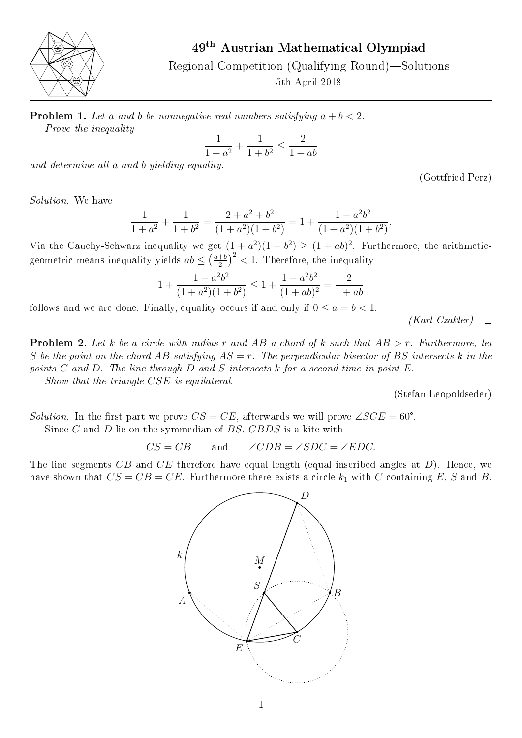

## 49th Austrian Mathematical Olympiad

Regional Competition (Qualifying Round)—Solutions 5th April 2018

**Problem 1.** Let a and b be nonnegative real numbers satisfying  $a + b < 2$ . Prove the inequality

$$
\frac{1}{1+a^2} + \frac{1}{1+b^2} \le \frac{2}{1+ab}
$$

and determine all a and b yielding equality.

(Gottfried Perz)

Solution. We have

$$
\frac{1}{1+a^2} + \frac{1}{1+b^2} = \frac{2+a^2+b^2}{(1+a^2)(1+b^2)} = 1 + \frac{1-a^2b^2}{(1+a^2)(1+b^2)}.
$$

Via the Cauchy-Schwarz inequality we get  $(1 + a^2)(1 + b^2) \ge (1 + ab)^2$ . Furthermore, the arithmeticgeometric means inequality yields  $ab \leq \left(\frac{a+b}{2}\right)$  $\left(\frac{+b}{2}\right)^2 < 1$ . Therefore, the inequality

$$
1 + \frac{1 - a^2b^2}{(1 + a^2)(1 + b^2)} \le 1 + \frac{1 - a^2b^2}{(1 + ab)^2} = \frac{2}{1 + ab}
$$

follows and we are done. Finally, equality occurs if and only if  $0 \le a = b < 1$ .

(Karl Czakler)  $\Box$ 

**Problem 2.** Let k be a circle with radius r and AB a chord of k such that  $AB > r$ . Furthermore, let S be the point on the chord AB satisfying  $AS = r$ . The perpendicular bisector of BS intersects k in the points C and D. The line through D and S intersects k for a second time in point E. Show that the triangle CSE is equilateral.

(Stefan Leopoldseder)

Solution. In the first part we prove  $CS = CE$ , afterwards we will prove  $\angle SCE = 60^{\circ}$ .

Since C and D lie on the symmedian of BS, CBDS is a kite with

$$
CS = CB \qquad \text{and} \qquad \angle CDB = \angle SDC = \angle EDC.
$$

The line segments CB and CE therefore have equal length (equal inscribed angles at D). Hence, we have shown that  $CS = CB = CE$ . Furthermore there exists a circle  $k_1$  with C containing E, S and B.